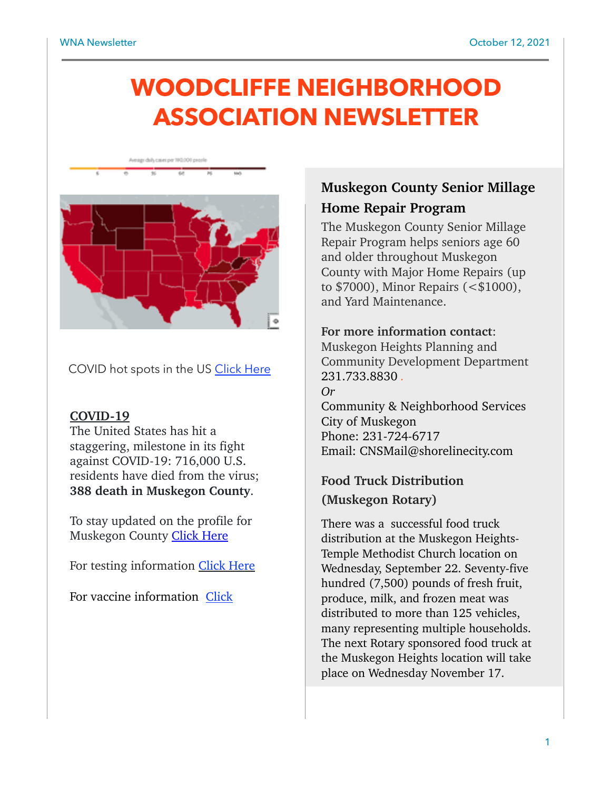# **WOODCLIFFE NEIGHBORHOOD ASSOCIATION NEWSLETTER**





COVID hot spots in the US [Click Here](https://www.mayoclinic.org/coronavirus-covid-19/map)

#### **COVID-19**

The United States has hit a staggering, milestone in its fight against COVID-19: 716,000 U.S. residents have died from the virus; **388 death in Muskegon County**.

To stay updated on the profile for Muskegon County **Click Here** 

For testing information [Click Here](https://55d42e03-2570-45bf-a033-56012e062ce3.filesusr.com/ugd/49b956_c258981017134260beeda5908a2f6214.pdf)

For vaccine information [Click](https://www.maskupmuskegon.org/vaccineinfo) 

# **Muskegon County Senior Millage Home Repair Program**

The Muskegon County Senior Millage Repair Program helps seniors age 60 and older throughout Muskegon County with Major Home Repairs (up to \$7000), Minor Repairs (<\$1000), and Yard Maintenance.

#### **For more information contact**:

Muskegon Heights Planning and Community Development Department 231.733.8830 *. Or*  Community & Neighborhood Services City of Muskegon

Phone: 231-724-6717 Email: CNSMail@shorelinecity.com

# **Food Truck Distribution (Muskegon Rotary)**

There was a successful food truck distribution at the Muskegon Heights-Temple Methodist Church location on Wednesday, September 22. Seventy-five hundred (7,500) pounds of fresh fruit, produce, milk, and frozen meat was distributed to more than 125 vehicles, many representing multiple households. The next Rotary sponsored food truck at the Muskegon Heights location will take place on Wednesday November 17.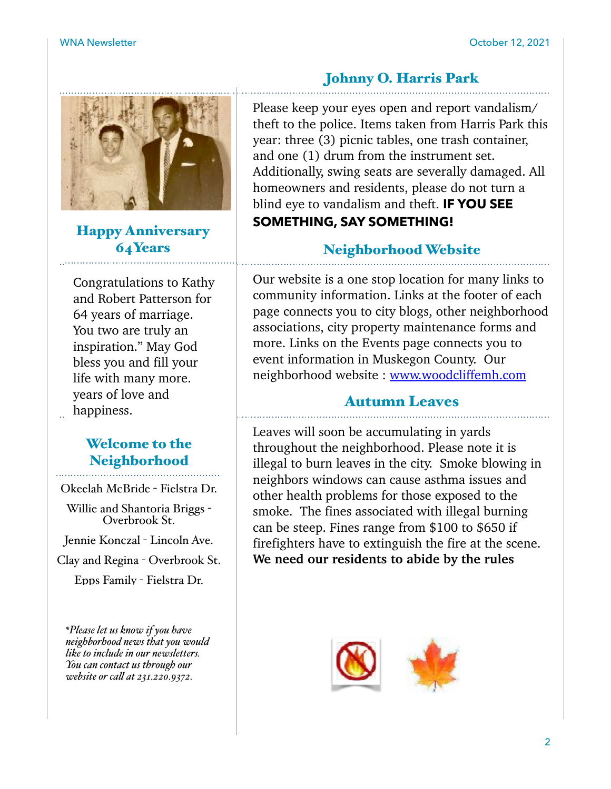

Happy Anniversary 64Years

Congratulations to Kathy and Robert Patterson for 64 years of marriage. You two are truly an inspiration." May God bless you and fill your life with many more. years of love and happiness.

# Welcome to the Neighborhood

Okeelah McBride - Fielstra Dr.

Willie and Shantoria Briggs - Overbrook St.

Jennie Konczal - Lincoln Ave.

Clay and Regina - Overbrook St.

Epps Family - Fielstra Dr.

*\*Please let us know if you have neighborhood news that you would like to include in our newsletters. You can contact us through our website or cal at 231.220.9372.*

# Johnny O. Harris Park

Please keep your eyes open and report vandalism/ theft to the police. Items taken from Harris Park this year: three (3) picnic tables, one trash container, and one (1) drum from the instrument set. Additionally, swing seats are severally damaged. All homeowners and residents, please do not turn a blind eye to vandalism and theft. **IF YOU SEE SOMETHING, SAY SOMETHING!** 

### Neighborhood Website

Our website is a one stop location for many links to community information. Links at the footer of each page connects you to city blogs, other neighborhood associations, city property maintenance forms and more. Links on the Events page connects you to event information in Muskegon County. Our neighborhood website : [www.woodcliffemh.com](http://www.woodcliffemh.com)

# Autumn Leaves

Leaves will soon be accumulating in yards throughout the neighborhood. Please note it is illegal to burn leaves in the city. Smoke blowing in neighbors windows can cause asthma issues and other health problems for those exposed to the smoke. The fines associated with illegal burning can be steep. Fines range from \$100 to \$650 if firefighters have to extinguish the fire at the scene. **We need our residents to abide by the rules** 

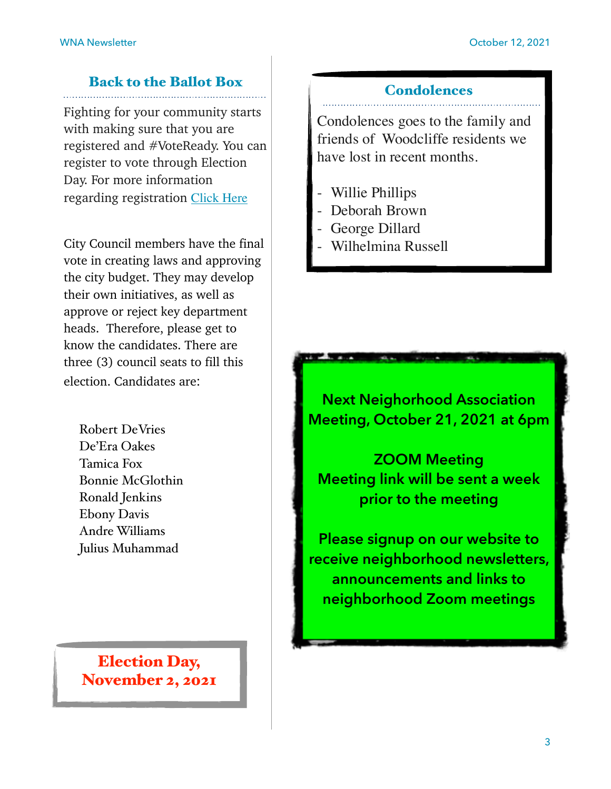# Back to the Ballot Box

Fighting for your community starts with making sure that you are registered and #VoteReady. You can register to vote through Election Day. For more information regarding registration [Click Here](https://www.michigan.gov/sos/0,1607,7-127-1633_8716_8726_47669-175878--,00.html)

City Council members have the final vote in creating laws and approving the city budget. They may develop their own initiatives, as well as approve or reject key department heads. Therefore, please get to know the candidates. There are three (3) council seats to fill this election. Candidates are:

Robert DeVries De'Era Oakes Tamica Fox Bonnie McGlothin Ronald Jenkins Ebony Davis Andre Williams Julius Muhammad

Election Day, November 2, 2021

#### **Condolences**

Condolences goes to the family and friends of Woodcliffe residents we have lost in recent months.

- Willie Phillips
- Deborah Brown
- George Dillard
- Wilhelmina Russell

**Next Neighorhood Association Meeting, October 21, 2021 at 6pm** 

**ZOOM Meeting Meeting link will be sent a week prior to the meeting** 

**Please signup on our website to receive neighborhood newsletters, announcements and links to neighborhood Zoom meetings**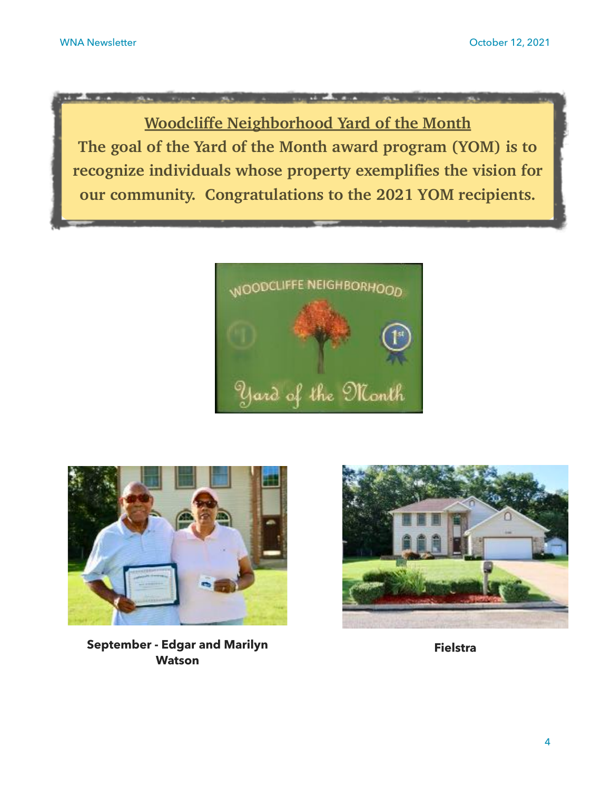**Woodcliffe Neighborhood Yard of the Month The goal of the Yard of the Month award program (YOM) is to recognize individuals whose property exemplifies the vision for our community. Congratulations to the 2021 YOM recipients.**





**September - Edgar and Marilyn Fielstra Watson**

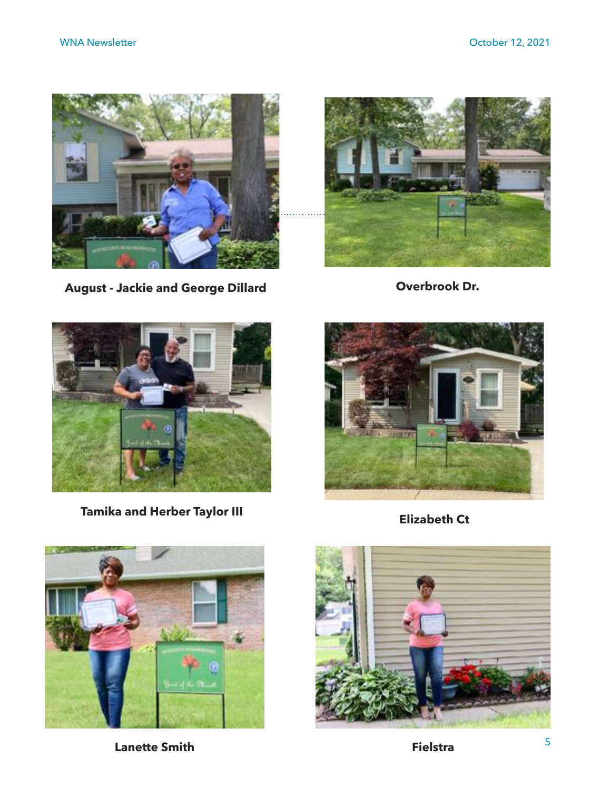

**August - Jackie and George Dillard**



**Overbrook Dr.**



**Elizabeth Ct Tamika and Herber Taylor III**







**Lanette Smith Fielstra**